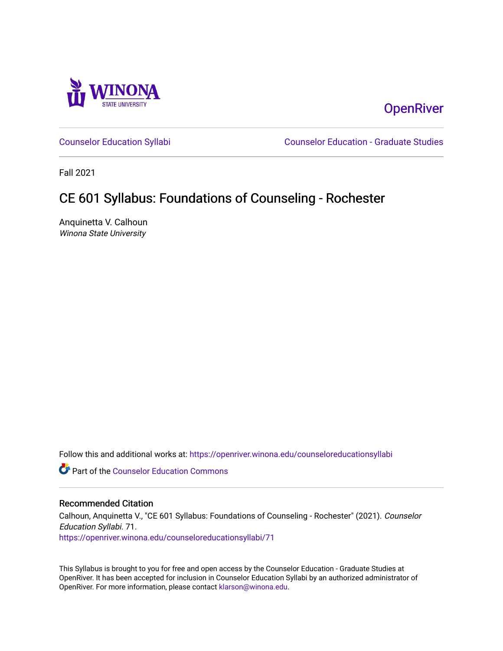

# **OpenRiver**

[Counselor Education Syllabi](https://openriver.winona.edu/counseloreducationsyllabi) [Counselor Education - Graduate Studies](https://openriver.winona.edu/counseloreducation) 

Fall 2021

# CE 601 Syllabus: Foundations of Counseling - Rochester

Anquinetta V. Calhoun Winona State University

Follow this and additional works at: [https://openriver.winona.edu/counseloreducationsyllabi](https://openriver.winona.edu/counseloreducationsyllabi?utm_source=openriver.winona.edu%2Fcounseloreducationsyllabi%2F71&utm_medium=PDF&utm_campaign=PDFCoverPages)

Part of the [Counselor Education Commons](http://network.bepress.com/hgg/discipline/1278?utm_source=openriver.winona.edu%2Fcounseloreducationsyllabi%2F71&utm_medium=PDF&utm_campaign=PDFCoverPages) 

#### Recommended Citation

Calhoun, Anquinetta V., "CE 601 Syllabus: Foundations of Counseling - Rochester" (2021). Counselor Education Syllabi. 71. [https://openriver.winona.edu/counseloreducationsyllabi/71](https://openriver.winona.edu/counseloreducationsyllabi/71?utm_source=openriver.winona.edu%2Fcounseloreducationsyllabi%2F71&utm_medium=PDF&utm_campaign=PDFCoverPages) 

This Syllabus is brought to you for free and open access by the Counselor Education - Graduate Studies at OpenRiver. It has been accepted for inclusion in Counselor Education Syllabi by an authorized administrator of OpenRiver. For more information, please contact [klarson@winona.edu](mailto:klarson@winona.edu).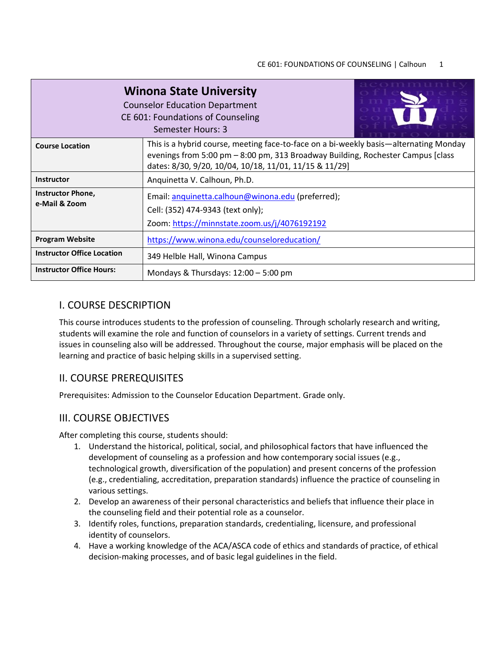| <b>Winona State University</b><br><b>Counselor Education Department</b><br>CE 601: Foundations of Counseling<br>Semester Hours: 3 |                                                                                                                                                                                                                                      |  |  |  |
|-----------------------------------------------------------------------------------------------------------------------------------|--------------------------------------------------------------------------------------------------------------------------------------------------------------------------------------------------------------------------------------|--|--|--|
| <b>Course Location</b>                                                                                                            | This is a hybrid course, meeting face-to-face on a bi-weekly basis—alternating Monday<br>evenings from 5:00 pm $-$ 8:00 pm, 313 Broadway Building, Rochester Campus [class<br>dates: 8/30, 9/20, 10/04, 10/18, 11/01, 11/15 & 11/29] |  |  |  |
| <b>Instructor</b>                                                                                                                 | Anquinetta V. Calhoun, Ph.D.                                                                                                                                                                                                         |  |  |  |
| <b>Instructor Phone,</b><br>e-Mail & Zoom                                                                                         | Email: anquinetta.calhoun@winona.edu (preferred);<br>Cell: (352) 474-9343 (text only);<br>Zoom: https://minnstate.zoom.us/j/4076192192                                                                                               |  |  |  |
| <b>Program Website</b>                                                                                                            | https://www.winona.edu/counseloreducation/                                                                                                                                                                                           |  |  |  |
| <b>Instructor Office Location</b>                                                                                                 | 349 Helble Hall, Winona Campus                                                                                                                                                                                                       |  |  |  |
| <b>Instructor Office Hours:</b>                                                                                                   | Mondays & Thursdays: 12:00 - 5:00 pm                                                                                                                                                                                                 |  |  |  |

## I. COURSE DESCRIPTION

This course introduces students to the profession of counseling. Through scholarly research and writing, students will examine the role and function of counselors in a variety of settings. Current trends and issues in counseling also will be addressed. Throughout the course, major emphasis will be placed on the learning and practice of basic helping skills in a supervised setting.

## II. COURSE PREREQUISITES

Prerequisites: Admission to the Counselor Education Department. Grade only.

## III. COURSE OBJECTIVES

After completing this course, students should:

- 1. Understand the historical, political, social, and philosophical factors that have influenced the development of counseling as a profession and how contemporary social issues (e.g., technological growth, diversification of the population) and present concerns of the profession (e.g., credentialing, accreditation, preparation standards) influence the practice of counseling in various settings.
- 2. Develop an awareness of their personal characteristics and beliefs that influence their place in the counseling field and their potential role as a counselor.
- 3. Identify roles, functions, preparation standards, credentialing, licensure, and professional identity of counselors.
- 4. Have a working knowledge of the ACA/ASCA code of ethics and standards of practice, of ethical decision-making processes, and of basic legal guidelines in the field.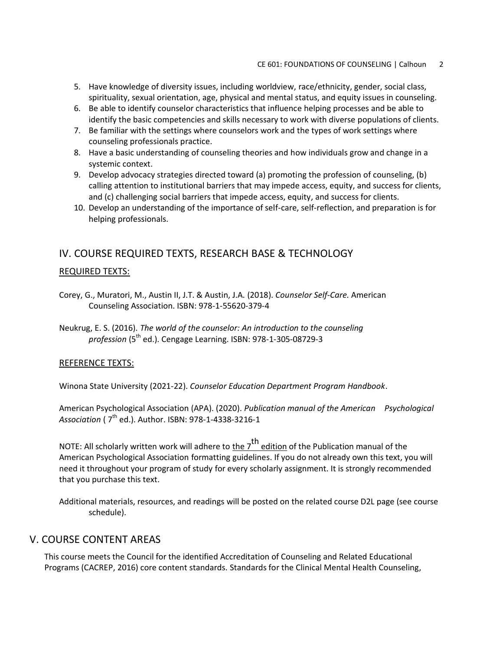- 5. Have knowledge of diversity issues, including worldview, race/ethnicity, gender, social class, spirituality, sexual orientation, age, physical and mental status, and equity issues in counseling.
- 6. Be able to identify counselor characteristics that influence helping processes and be able to identify the basic competencies and skills necessary to work with diverse populations of clients.
- 7. Be familiar with the settings where counselors work and the types of work settings where counseling professionals practice.
- 8. Have a basic understanding of counseling theories and how individuals grow and change in a systemic context.
- 9. Develop advocacy strategies directed toward (a) promoting the profession of counseling, (b) calling attention to institutional barriers that may impede access, equity, and success for clients, and (c) challenging social barriers that impede access, equity, and success for clients.
- 10. Develop an understanding of the importance of self-care, self-reflection, and preparation is for helping professionals.

## IV. COURSE REQUIRED TEXTS, RESEARCH BASE & TECHNOLOGY

#### REQUIRED TEXTS:

- Corey, G., Muratori, M., Austin II, J.T. & Austin, J.A. (2018). *Counselor Self-Care.* American Counseling Association. ISBN: 978-1-55620-379-4
- Neukrug, E. S. (2016). *The world of the counselor: An introduction to the counseling*  profession (5<sup>th</sup> ed.). Cengage Learning. ISBN: 978-1-305-08729-3

#### REFERENCE TEXTS:

Winona State University (2021-22). *Counselor Education Department Program Handbook*.

American Psychological Association (APA). (2020). *Publication manual of the American Psychological Association* ( 7th ed.). Author. ISBN: 978-1-4338-3216-1

NOTE: All scholarly written work will adhere to the 7<sup>th</sup> edition of the Publication manual of the American Psychological Association formatting guidelines. If you do not already own this text, you will need it throughout your program of study for every scholarly assignment. It is strongly recommended that you purchase this text.

Additional materials, resources, and readings will be posted on the related course D2L page (see course schedule).

### V. COURSE CONTENT AREAS

This course meets the Council for the identified Accreditation of Counseling and Related Educational Programs (CACREP, 2016) core content standards. Standards for the Clinical Mental Health Counseling,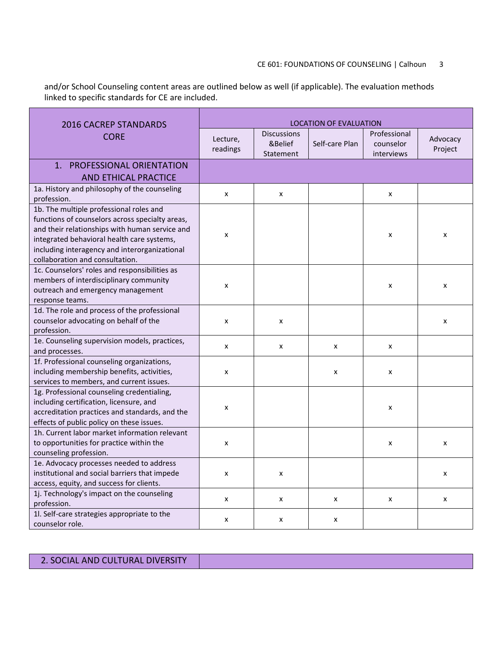## CE 601: FOUNDATIONS OF COUNSELING | Calhoun 3

and/or School Counseling content areas are outlined below as well (if applicable). The evaluation methods linked to specific standards for CE are included.

| <b>2016 CACREP STANDARDS</b>                                                                                                                                                                                                                                                   | <b>LOCATION OF EVALUATION</b> |                                            |                |                                         |                     |
|--------------------------------------------------------------------------------------------------------------------------------------------------------------------------------------------------------------------------------------------------------------------------------|-------------------------------|--------------------------------------------|----------------|-----------------------------------------|---------------------|
| <b>CORE</b>                                                                                                                                                                                                                                                                    | Lecture,<br>readings          | <b>Discussions</b><br>&Belief<br>Statement | Self-care Plan | Professional<br>counselor<br>interviews | Advocacy<br>Project |
| 1. PROFESSIONAL ORIENTATION<br><b>AND ETHICAL PRACTICE</b>                                                                                                                                                                                                                     |                               |                                            |                |                                         |                     |
| 1a. History and philosophy of the counseling<br>profession.                                                                                                                                                                                                                    | x                             | x                                          |                | X                                       |                     |
| 1b. The multiple professional roles and<br>functions of counselors across specialty areas,<br>and their relationships with human service and<br>integrated behavioral health care systems,<br>including interagency and interorganizational<br>collaboration and consultation. | x                             |                                            |                | X                                       | x                   |
| 1c. Counselors' roles and responsibilities as<br>members of interdisciplinary community<br>outreach and emergency management<br>response teams.                                                                                                                                | x                             |                                            |                | X                                       | X                   |
| 1d. The role and process of the professional<br>counselor advocating on behalf of the<br>profession.                                                                                                                                                                           | x                             | x                                          |                |                                         | X                   |
| 1e. Counseling supervision models, practices,<br>and processes.                                                                                                                                                                                                                | x                             | x                                          | x              | X                                       |                     |
| 1f. Professional counseling organizations,<br>including membership benefits, activities,<br>services to members, and current issues.                                                                                                                                           | x                             |                                            | x              | X                                       |                     |
| 1g. Professional counseling credentialing,<br>including certification, licensure, and<br>accreditation practices and standards, and the<br>effects of public policy on these issues.                                                                                           | x                             |                                            |                | X                                       |                     |
| 1h. Current labor market information relevant<br>to opportunities for practice within the<br>counseling profession.                                                                                                                                                            | $\pmb{\times}$                |                                            |                | X                                       | x                   |
| 1e. Advocacy processes needed to address<br>institutional and social barriers that impede<br>access, equity, and success for clients.                                                                                                                                          | $\pmb{\times}$                | X                                          |                |                                         | X                   |
| 1j. Technology's impact on the counseling<br>profession.                                                                                                                                                                                                                       | x                             | x                                          | x              | x                                       | X                   |
| 1l. Self-care strategies appropriate to the<br>counselor role.                                                                                                                                                                                                                 | x                             | x                                          | x              |                                         |                     |

2. SOCIAL AND CULTURAL DIVERSITY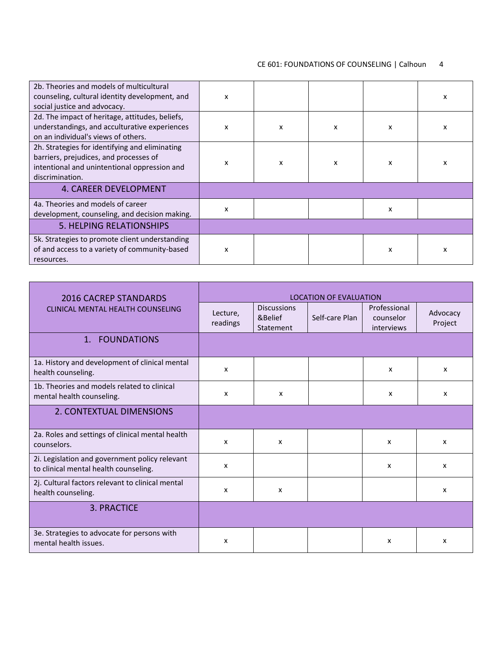| 2b. Theories and models of multicultural<br>counseling, cultural identity development, and<br>social justice and advocacy.                                  | x |   |   |   | X |
|-------------------------------------------------------------------------------------------------------------------------------------------------------------|---|---|---|---|---|
| 2d. The impact of heritage, attitudes, beliefs,<br>understandings, and acculturative experiences<br>on an individual's views of others.                     | x | X | x | x | x |
| 2h. Strategies for identifying and eliminating<br>barriers, prejudices, and processes of<br>intentional and unintentional oppression and<br>discrimination. | x | x | x | x | x |
| 4. CAREER DEVELOPMENT                                                                                                                                       |   |   |   |   |   |
| 4a. Theories and models of career<br>development, counseling, and decision making.                                                                          | x |   |   | x |   |
| <b>5. HELPING RELATIONSHIPS</b>                                                                                                                             |   |   |   |   |   |
| 5k. Strategies to promote client understanding<br>of and access to a variety of community-based<br>resources.                                               | x |   |   | x | x |

| <b>2016 CACREP STANDARDS</b>                                                            |                      |                                            | <b>LOCATION OF EVALUATION</b> |                                         |                     |
|-----------------------------------------------------------------------------------------|----------------------|--------------------------------------------|-------------------------------|-----------------------------------------|---------------------|
| CLINICAL MENTAL HEALTH COUNSELING                                                       | Lecture,<br>readings | <b>Discussions</b><br>&Belief<br>Statement | Self-care Plan                | Professional<br>counselor<br>interviews | Advocacy<br>Project |
| 1. FOUNDATIONS                                                                          |                      |                                            |                               |                                         |                     |
| 1a. History and development of clinical mental<br>health counseling.                    | x                    |                                            |                               | $\boldsymbol{\mathsf{x}}$               | x                   |
| 1b. Theories and models related to clinical<br>mental health counseling.                | x                    | x                                          |                               | $\boldsymbol{\mathsf{x}}$               | x                   |
| 2. CONTEXTUAL DIMENSIONS                                                                |                      |                                            |                               |                                         |                     |
| 2a. Roles and settings of clinical mental health<br>counselors.                         | x                    | x                                          |                               | x                                       | x                   |
| 2i. Legislation and government policy relevant<br>to clinical mental health counseling. | x                    |                                            |                               | $\boldsymbol{\mathsf{x}}$               | x                   |
| 2j. Cultural factors relevant to clinical mental<br>health counseling.                  | X                    | x                                          |                               |                                         | x                   |
| <b>3. PRACTICE</b>                                                                      |                      |                                            |                               |                                         |                     |
| 3e. Strategies to advocate for persons with<br>mental health issues.                    | x                    |                                            |                               | x                                       | x                   |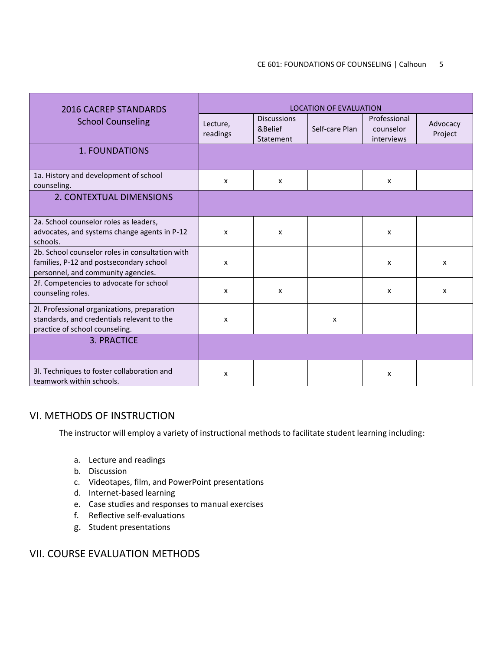#### CE 601: FOUNDATIONS OF COUNSELING | Calhoun 5

| 2016 CACREP STANDARDS                                                                                                            | <b>LOCATION OF EVALUATION</b> |                                            |                |                                         |                           |
|----------------------------------------------------------------------------------------------------------------------------------|-------------------------------|--------------------------------------------|----------------|-----------------------------------------|---------------------------|
| <b>School Counseling</b>                                                                                                         | Lecture,<br>readings          | <b>Discussions</b><br>&Belief<br>Statement | Self-care Plan | Professional<br>counselor<br>interviews | Advocacy<br>Project       |
| 1. FOUNDATIONS                                                                                                                   |                               |                                            |                |                                         |                           |
| 1a. History and development of school<br>counseling.                                                                             | X                             | x                                          |                | x                                       |                           |
| 2. CONTEXTUAL DIMENSIONS                                                                                                         |                               |                                            |                |                                         |                           |
| 2a. School counselor roles as leaders,<br>advocates, and systems change agents in P-12<br>schools.                               | x                             | x                                          |                | x                                       |                           |
| 2b. School counselor roles in consultation with<br>families, P-12 and postsecondary school<br>personnel, and community agencies. | $\boldsymbol{\mathsf{x}}$     |                                            |                | X                                       | $\mathsf{x}$              |
| 2f. Competencies to advocate for school<br>counseling roles.                                                                     | x                             | x                                          |                | x                                       | $\boldsymbol{\mathsf{x}}$ |
| 2l. Professional organizations, preparation<br>standards, and credentials relevant to the<br>practice of school counseling.      | x                             |                                            | X              |                                         |                           |
| 3. PRACTICE                                                                                                                      |                               |                                            |                |                                         |                           |
| 3l. Techniques to foster collaboration and<br>teamwork within schools.                                                           | x                             |                                            |                | X                                       |                           |

## VI. METHODS OF INSTRUCTION

The instructor will employ a variety of instructional methods to facilitate student learning including:

- a. Lecture and readings
- b. Discussion
- c. Videotapes, film, and PowerPoint presentations
- d. Internet-based learning
- e. Case studies and responses to manual exercises
- f. Reflective self-evaluations
- g. Student presentations

## VII. COURSE EVALUATION METHODS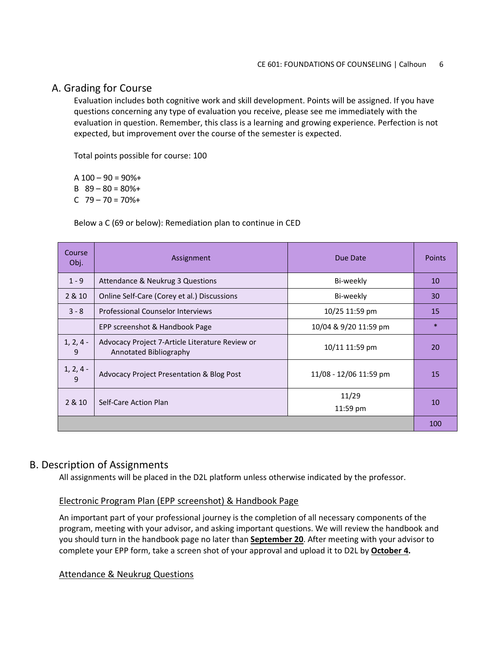## A. Grading for Course

Evaluation includes both cognitive work and skill development. Points will be assigned. If you have questions concerning any type of evaluation you receive, please see me immediately with the evaluation in question. Remember, this class is a learning and growing experience. Perfection is not expected, but improvement over the course of the semester is expected.

Total points possible for course: 100

A  $100 - 90 = 90\% +$ 

- B  $89 80 = 80\% +$
- C 79 70 = 70%+

Below a C (69 or below): Remediation plan to continue in CED

| Course<br>Obj.              | Assignment                                                                | Due Date               | <b>Points</b> |
|-----------------------------|---------------------------------------------------------------------------|------------------------|---------------|
| $1 - 9$                     | Attendance & Neukrug 3 Questions                                          | Bi-weekly              | 10            |
| 2 & 10                      | Online Self-Care (Corey et al.) Discussions                               | Bi-weekly              | 30            |
| $3 - 8$                     | <b>Professional Counselor Interviews</b>                                  | 10/25 11:59 pm         | 15            |
|                             | EPP screenshot & Handbook Page                                            | 10/04 & 9/20 11:59 pm  | $\ast$        |
| $1, 2, 4 -$<br>9            | Advocacy Project 7-Article Literature Review or<br>Annotated Bibliography | 10/11 11:59 pm         | 20            |
| $1, 2, 4 -$<br>$\mathbf{q}$ | <b>Advocacy Project Presentation &amp; Blog Post</b>                      | 11/08 - 12/06 11:59 pm | 15            |
| 2 & 10                      | Self-Care Action Plan                                                     | 11/29<br>11:59 pm      | 10            |
|                             |                                                                           |                        | 100           |

## B. Description of Assignments

All assignments will be placed in the D2L platform unless otherwise indicated by the professor.

## Electronic Program Plan (EPP screenshot) & Handbook Page

An important part of your professional journey is the completion of all necessary components of the program, meeting with your advisor, and asking important questions. We will review the handbook and you should turn in the handbook page no later than **September 20**. After meeting with your advisor to complete your EPP form, take a screen shot of your approval and upload it to D2L by **October 4.**

#### Attendance & Neukrug Questions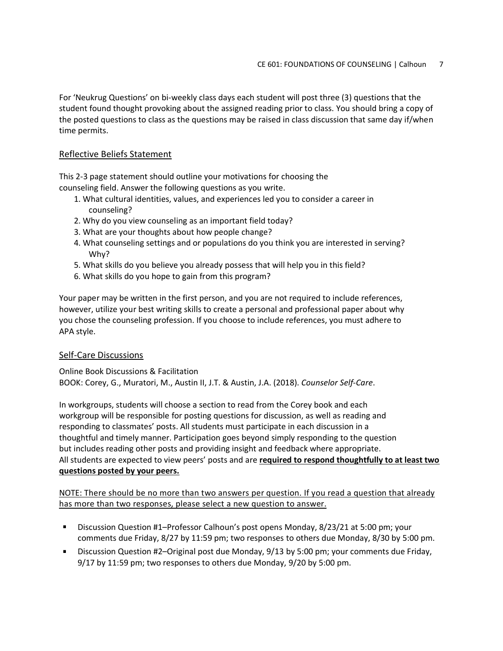For 'Neukrug Questions' on bi-weekly class days each student will post three (3) questions that the student found thought provoking about the assigned reading prior to class. You should bring a copy of the posted questions to class as the questions may be raised in class discussion that same day if/when time permits.

### Reflective Beliefs Statement

This 2-3 page statement should outline your motivations for choosing the counseling field. Answer the following questions as you write.

- 1. What cultural identities, values, and experiences led you to consider a career in counseling?
- 2. Why do you view counseling as an important field today?
- 3. What are your thoughts about how people change?
- 4. What counseling settings and or populations do you think you are interested in serving? Why?
- 5. What skills do you believe you already possess that will help you in this field?
- 6. What skills do you hope to gain from this program?

Your paper may be written in the first person, and you are not required to include references, however, utilize your best writing skills to create a personal and professional paper about why you chose the counseling profession. If you choose to include references, you must adhere to APA style.

### Self-Care Discussions

Online Book Discussions & Facilitation BOOK: Corey, G., Muratori, M., Austin II, J.T. & Austin, J.A. (2018). *Counselor Self-Care*.

In workgroups, students will choose a section to read from the Corey book and each workgroup will be responsible for posting questions for discussion, as well as reading and responding to classmates' posts. All students must participate in each discussion in a thoughtful and timely manner. Participation goes beyond simply responding to the question but includes reading other posts and providing insight and feedback where appropriate. All students are expected to view peers' posts and are **required to respond thoughtfully to at least two questions posted by your peers.**

NOTE: There should be no more than two answers per question. If you read a question that already has more than two responses, please select a new question to answer.

- $\mathbf{u} = \mathbf{u}$ Discussion Question #1–Professor Calhoun's post opens Monday, 8/23/21 at 5:00 pm; your comments due Friday, 8/27 by 11:59 pm; two responses to others due Monday, 8/30 by 5:00 pm.
- a sa Discussion Question #2–Original post due Monday, 9/13 by 5:00 pm; your comments due Friday, 9/17 by 11:59 pm; two responses to others due Monday, 9/20 by 5:00 pm.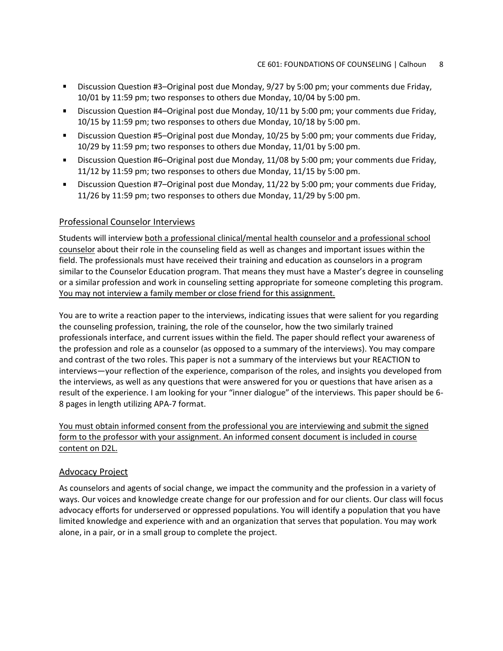- $\mathbf{u}$ Discussion Question #3–Original post due Monday, 9/27 by 5:00 pm; your comments due Friday, 10/01 by 11:59 pm; two responses to others due Monday, 10/04 by 5:00 pm.
- Discussion Question #4–Original post due Monday, 10/11 by 5:00 pm; your comments due Friday, 10/15 by 11:59 pm; two responses to others due Monday, 10/18 by 5:00 pm.
- $\mathbf{u}$  . Discussion Question #5–Original post due Monday, 10/25 by 5:00 pm; your comments due Friday, 10/29 by 11:59 pm; two responses to others due Monday, 11/01 by 5:00 pm.
- Discussion Question #6–Original post due Monday, 11/08 by 5:00 pm; your comments due Friday,  $\mathbf{r}$ 11/12 by 11:59 pm; two responses to others due Monday, 11/15 by 5:00 pm.
- Discussion Question #7–Original post due Monday, 11/22 by 5:00 pm; your comments due Friday, 11/26 by 11:59 pm; two responses to others due Monday, 11/29 by 5:00 pm.

#### Professional Counselor Interviews

Students will interview both a professional clinical/mental health counselor and a professional school counselor about their role in the counseling field as well as changes and important issues within the field. The professionals must have received their training and education as counselors in a program similar to the Counselor Education program. That means they must have a Master's degree in counseling or a similar profession and work in counseling setting appropriate for someone completing this program. You may not interview a family member or close friend for this assignment.

You are to write a reaction paper to the interviews, indicating issues that were salient for you regarding the counseling profession, training, the role of the counselor, how the two similarly trained professionals interface, and current issues within the field. The paper should reflect your awareness of the profession and role as a counselor (as opposed to a summary of the interviews). You may compare and contrast of the two roles. This paper is not a summary of the interviews but your REACTION to interviews—your reflection of the experience, comparison of the roles, and insights you developed from the interviews, as well as any questions that were answered for you or questions that have arisen as a result of the experience. I am looking for your "inner dialogue" of the interviews. This paper should be 6- 8 pages in length utilizing APA-7 format.

You must obtain informed consent from the professional you are interviewing and submit the signed form to the professor with your assignment. An informed consent document is included in course content on D2L.

#### Advocacy Project

As counselors and agents of social change, we impact the community and the profession in a variety of ways. Our voices and knowledge create change for our profession and for our clients. Our class will focus advocacy efforts for underserved or oppressed populations. You will identify a population that you have limited knowledge and experience with and an organization that serves that population. You may work alone, in a pair, or in a small group to complete the project.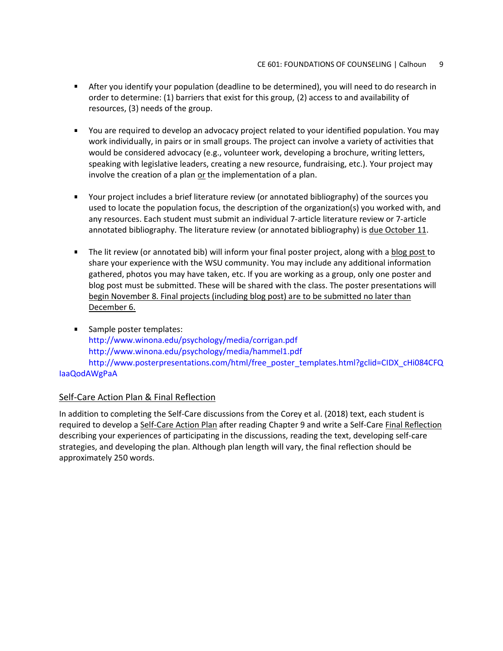- After you identify your population (deadline to be determined), you will need to do research in order to determine: (1) barriers that exist for this group, (2) access to and availability of resources, (3) needs of the group.
- You are required to develop an advocacy project related to your identified population. You may work individually, in pairs or in small groups. The project can involve a variety of activities that would be considered advocacy (e.g., volunteer work, developing a brochure, writing letters, speaking with legislative leaders, creating a new resource, fundraising, etc.). Your project may involve the creation of a plan or the implementation of a plan.
- Your project includes a brief literature review (or annotated bibliography) of the sources you used to locate the population focus, the description of the organization(s) you worked with, and any resources. Each student must submit an individual 7-article literature review or 7-article annotated bibliography. The literature review (or annotated bibliography) is due October 11.
- The lit review (or annotated bib) will inform your final poster project, along with a blog post to share your experience with the WSU community. You may include any additional information gathered, photos you may have taken, etc. If you are working as a group, only one poster and blog post must be submitted. These will be shared with the class. The poster presentations will begin November 8. Final projects (including blog post) are to be submitted no later than December 6.
- Sample poster templates: http://www.winona.edu/psychology/media/corrigan.pdf http://www.winona.edu/psychology/media/hammel1.pdf http://www.posterpresentations.com/html/free\_poster\_templates.html?gclid=CIDX\_cHi084CFQ IaaQodAWgPaA

### Self-Care Action Plan & Final Reflection

In addition to completing the Self-Care discussions from the Corey et al. (2018) text, each student is required to develop a Self-Care Action Plan after reading Chapter 9 and write a Self-Care Final Reflection describing your experiences of participating in the discussions, reading the text, developing self-care strategies, and developing the plan. Although plan length will vary, the final reflection should be approximately 250 words.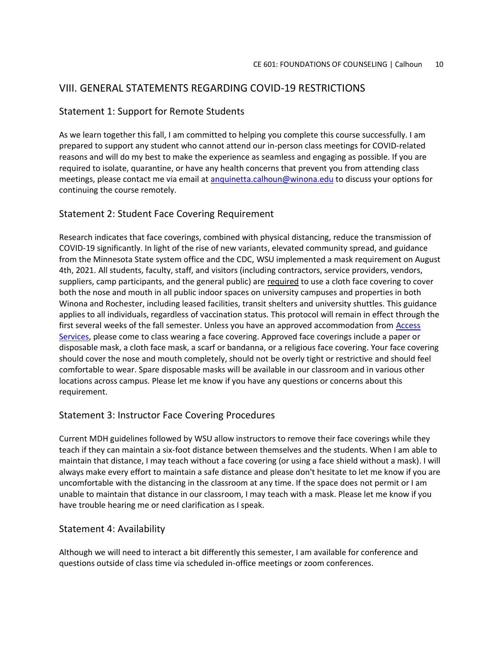## VIII. GENERAL STATEMENTS REGARDING COVID-19 RESTRICTIONS

## Statement 1: Support for Remote Students

As we learn together this fall, I am committed to helping you complete this course successfully. I am prepared to support any student who cannot attend our in-person class meetings for COVID-related reasons and will do my best to make the experience as seamless and engaging as possible. If you are required to isolate, quarantine, or have any health concerns that prevent you from attending class meetings, please contact me via email at [anquinetta.calhoun@winona.edu](mailto:anquinetta.calhoun@winona.edu) to discuss your options for continuing the course remotely.

## Statement 2: Student Face Covering Requirement

Research indicates that face coverings, combined with physical distancing, reduce the transmission of COVID-19 significantly. In light of the rise of new variants, elevated community spread, and guidance from the Minnesota State system office and the CDC, WSU implemented a mask requirement on August 4th, 2021. All students, faculty, staff, and visitors (including contractors, service providers, vendors, suppliers, camp participants, and the general public) are required to use a cloth face covering to cover both the nose and mouth in all public indoor spaces on university campuses and properties in both Winona and Rochester, including leased facilities, transit shelters and university shuttles. This guidance applies to all individuals, regardless of vaccination status. This protocol will remain in effect through the first several weeks of the fall semester. Unless you have an approved accommodation from Access [Services,](https://www.winona.edu/accessservices/) please come to class wearing a face covering. Approved face coverings include a paper or disposable mask, a cloth face mask, a scarf or bandanna, or a religious face covering. Your face covering should cover the nose and mouth completely, should not be overly tight or restrictive and should feel comfortable to wear. Spare disposable masks will be available in our classroom and in various other locations across campus. Please let me know if you have any questions or concerns about this requirement.

## Statement 3: Instructor Face Covering Procedures

Current MDH guidelines followed by WSU allow instructors to remove their face coverings while they teach if they can maintain a six-foot distance between themselves and the students. When I am able to maintain that distance, I may teach without a face covering (or using a face shield without a mask). I will always make every effort to maintain a safe distance and please don't hesitate to let me know if you are uncomfortable with the distancing in the classroom at any time. If the space does not permit or I am unable to maintain that distance in our classroom, I may teach with a mask. Please let me know if you have trouble hearing me or need clarification as I speak.

### Statement 4: Availability

Although we will need to interact a bit differently this semester, I am available for conference and questions outside of class time via scheduled in-office meetings or zoom conferences.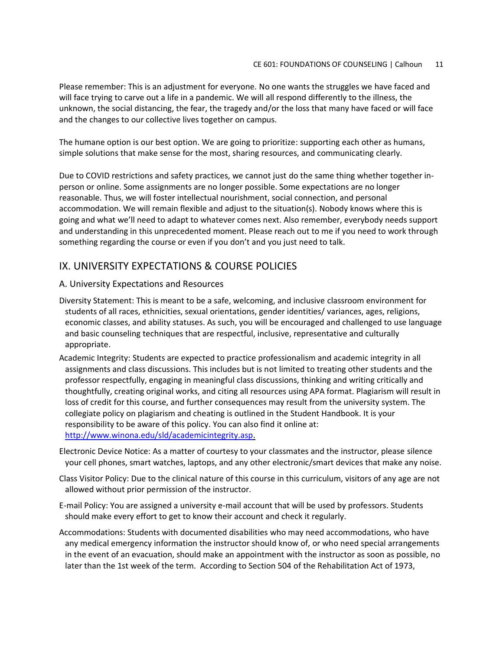Please remember: This is an adjustment for everyone. No one wants the struggles we have faced and will face trying to carve out a life in a pandemic. We will all respond differently to the illness, the unknown, the social distancing, the fear, the tragedy and/or the loss that many have faced or will face and the changes to our collective lives together on campus.

The humane option is our best option. We are going to prioritize: supporting each other as humans, simple solutions that make sense for the most, sharing resources, and communicating clearly.

Due to COVID restrictions and safety practices, we cannot just do the same thing whether together inperson or online. Some assignments are no longer possible. Some expectations are no longer reasonable. Thus, we will foster intellectual nourishment, social connection, and personal accommodation. We will remain flexible and adjust to the situation(s). Nobody knows where this is going and what we'll need to adapt to whatever comes next. Also remember, everybody needs support and understanding in this unprecedented moment. Please reach out to me if you need to work through something regarding the course or even if you don't and you just need to talk.

## IX. UNIVERSITY EXPECTATIONS & COURSE POLICIES

#### A. University Expectations and Resources

- Diversity Statement: This is meant to be a safe, welcoming, and inclusive classroom environment for students of all races, ethnicities, sexual orientations, gender identities/ variances, ages, religions, economic classes, and ability statuses. As such, you will be encouraged and challenged to use language and basic counseling techniques that are respectful, inclusive, representative and culturally appropriate.
- Academic Integrity: Students are expected to practice professionalism and academic integrity in all assignments and class discussions. This includes but is not limited to treating other students and the professor respectfully, engaging in meaningful class discussions, thinking and writing critically and thoughtfully, creating original works, and citing all resources using APA format. Plagiarism will result in loss of credit for this course, and further consequences may result from the university system. The collegiate policy on plagiarism and cheating is outlined in the Student Handbook. It is your responsibility to be aware of this policy. You can also find it online at: [http://www.winona.edu/sld/academicintegrity.asp.](http://www.winona.edu/sld/academicintegrity.asp)
- Electronic Device Notice: As a matter of courtesy to your classmates and the instructor, please silence your cell phones, smart watches, laptops, and any other electronic/smart devices that make any noise.
- Class Visitor Policy: Due to the clinical nature of this course in this curriculum, visitors of any age are not allowed without prior permission of the instructor.
- E-mail Policy: You are assigned a university e-mail account that will be used by professors. Students should make every effort to get to know their account and check it regularly.
- Accommodations: Students with documented disabilities who may need accommodations, who have any medical emergency information the instructor should know of, or who need special arrangements in the event of an evacuation, should make an appointment with the instructor as soon as possible, no later than the 1st week of the term. According to Section 504 of the Rehabilitation Act of 1973,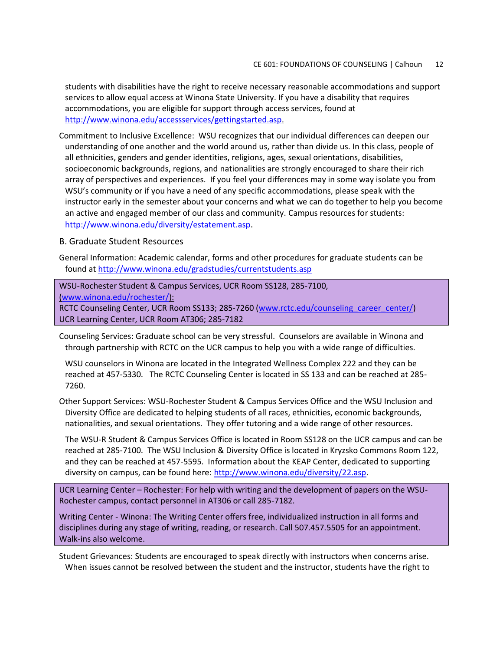students with disabilities have the right to receive necessary reasonable accommodations and support services to allow equal access at Winona State University. If you have a disability that requires accommodations, you are eligible for support through access services, found at [http://www.winona.edu/accessservices/gettingstarted.asp.](http://www.winona.edu/accessservices/gettingstarted.asp)

Commitment to Inclusive Excellence: WSU recognizes that our individual differences can deepen our understanding of one another and the world around us, rather than divide us. In this class, people of all ethnicities, genders and gender identities, religions, ages, sexual orientations, disabilities, socioeconomic backgrounds, regions, and nationalities are strongly encouraged to share their rich array of perspectives and experiences. If you feel your differences may in some way isolate you from WSU's community or if you have a need of any specific accommodations, please speak with the instructor early in the semester about your concerns and what we can do together to help you become an active and engaged member of our class and community. Campus resources for students: <http://www.winona.edu/diversity/estatement.asp>.

#### B. Graduate Student Resources

General Information: Academic calendar, forms and other procedures for graduate students can be found at<http://www.winona.edu/gradstudies/currentstudents.asp>

WSU-Rochester Student & Campus Services, UCR Room SS128, 285-7100,

[\(www.winona.edu/rochester/\)](http://www.winona.edu/rochester/):

RCTC Counseling Center, UCR Room SS133; 285-7260 [\(www.rctc.edu/counseling\\_career\\_center/\)](http://www.rctc.edu/counseling_career_center/) UCR Learning Center, UCR Room AT306; 285-7182

Counseling Services: Graduate school can be very stressful. Counselors are available in Winona and through partnership with RCTC on the UCR campus to help you with a wide range of difficulties.

WSU counselors in Winona are located in the Integrated Wellness Complex 222 and they can be reached at 457-5330. The RCTC Counseling Center is located in SS 133 and can be reached at 285- 7260.

Other Support Services: WSU-Rochester Student & Campus Services Office and the WSU Inclusion and Diversity Office are dedicated to helping students of all races, ethnicities, economic backgrounds, nationalities, and sexual orientations. They offer tutoring and a wide range of other resources.

The WSU-R Student & Campus Services Office is located in Room SS128 on the UCR campus and can be reached at 285-7100. The WSU Inclusion & Diversity Office is located in Kryzsko Commons Room 122, and they can be reached at 457-5595. Information about the KEAP Center, dedicated to supporting diversity on campus, can be found here: [http://www.winona.edu/diversity/22.asp.](http://www.winona.edu/diversity/22.asp)

UCR Learning Center – Rochester: For help with writing and the development of papers on the WSU-Rochester campus, contact personnel in AT306 or call 285-7182.

Writing Center - Winona: The Writing Center offers free, individualized instruction in all forms and disciplines during any stage of writing, reading, or research. Call 507.457.5505 for an appointment. Walk-ins also welcome.

Student Grievances: Students are encouraged to speak directly with instructors when concerns arise. When issues cannot be resolved between the student and the instructor, students have the right to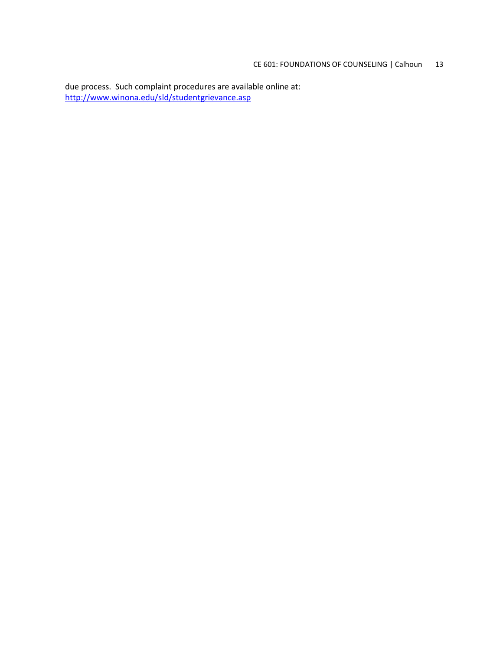due process. Such complaint procedures are available online at: <http://www.winona.edu/sld/studentgrievance.asp>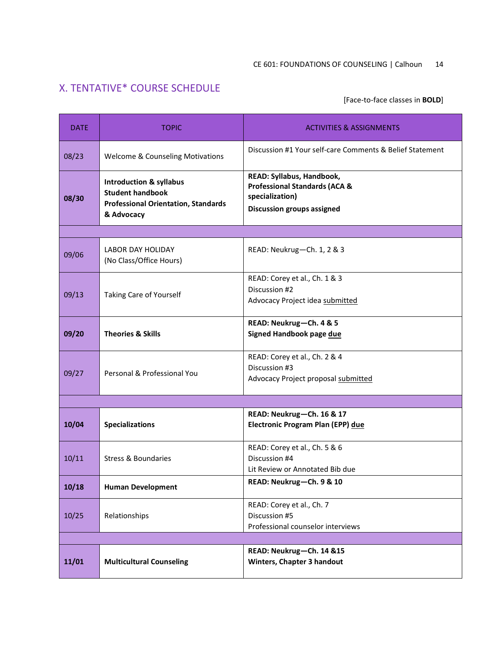# X. TENTATIVE\* COURSE SCHEDULE

[Face-to-face classes in **BOLD**]

| <b>DATE</b> | <b>TOPIC</b>                                                                                                              | <b>ACTIVITIES &amp; ASSIGNMENTS</b>                                                                                           |  |  |  |
|-------------|---------------------------------------------------------------------------------------------------------------------------|-------------------------------------------------------------------------------------------------------------------------------|--|--|--|
| 08/23       | <b>Welcome &amp; Counseling Motivations</b>                                                                               | Discussion #1 Your self-care Comments & Belief Statement                                                                      |  |  |  |
| 08/30       | <b>Introduction &amp; syllabus</b><br><b>Student handbook</b><br><b>Professional Orientation, Standards</b><br>& Advocacy | READ: Syllabus, Handbook,<br><b>Professional Standards (ACA &amp;</b><br>specialization)<br><b>Discussion groups assigned</b> |  |  |  |
|             |                                                                                                                           |                                                                                                                               |  |  |  |
| 09/06       | <b>LABOR DAY HOLIDAY</b><br>(No Class/Office Hours)                                                                       | READ: Neukrug-Ch. 1, 2 & 3                                                                                                    |  |  |  |
| 09/13       | Taking Care of Yourself                                                                                                   | READ: Corey et al., Ch. 1 & 3<br>Discussion #2<br>Advocacy Project idea submitted                                             |  |  |  |
| 09/20       | <b>Theories &amp; Skills</b>                                                                                              | READ: Neukrug-Ch. 4 & 5<br>Signed Handbook page due                                                                           |  |  |  |
| 09/27       | Personal & Professional You                                                                                               | READ: Corey et al., Ch. 2 & 4<br>Discussion #3<br>Advocacy Project proposal submitted                                         |  |  |  |
|             |                                                                                                                           |                                                                                                                               |  |  |  |
| 10/04       | <b>Specializations</b>                                                                                                    | READ: Neukrug-Ch. 16 & 17<br>Electronic Program Plan (EPP) due                                                                |  |  |  |
| 10/11       | <b>Stress &amp; Boundaries</b>                                                                                            | READ: Corey et al., Ch. 5 & 6<br>Discussion #4<br>Lit Review or Annotated Bib due                                             |  |  |  |
| 10/18       | <b>Human Development</b>                                                                                                  | READ: Neukrug-Ch. 9 & 10                                                                                                      |  |  |  |
| 10/25       | Relationships                                                                                                             | READ: Corey et al., Ch. 7<br>Discussion #5<br>Professional counselor interviews                                               |  |  |  |
|             |                                                                                                                           |                                                                                                                               |  |  |  |
| 11/01       | <b>Multicultural Counseling</b>                                                                                           | READ: Neukrug-Ch. 14 &15<br>Winters, Chapter 3 handout                                                                        |  |  |  |